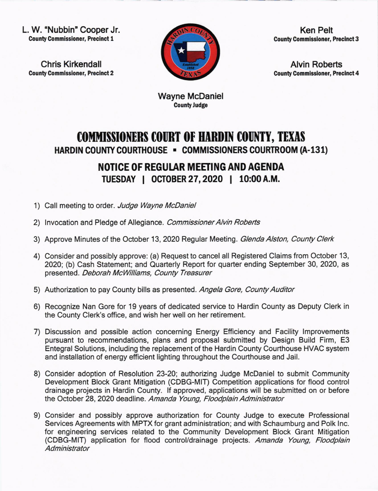L. W. "Nubbin" Cooper Jr. County Commissioner, Precinct 1

Chris Kirkendall County Commissloner, Precinct 2



Ken Pelt County Commlssioner, Preclnct 3

Alvin Roberts County Commissioner, Precinct 4

Wayne McDaniel CountyJudge

## **COMMISSIONERS COURT OF HARDIN COUNTY, TEXAS** HARDIN COUNTY COURTHOUSE . COMMISSIONERS COURTROOM (A-131)

## NOTICE OF REGULAR MEETING AND AGENDA TUESDAY | OCTOBER 27, 2020 | 10:00 A.M.

- 1) Call meeting to order. Judge Wayne McDaniel
- 2) Invocation and Pledge of Allegiance. Commissioner Alvin Roberts
- 3) Approve Minutes of the October 13, 2020 Regular Meeting. Glenda Alston, County Clerk
- 4) Consider and possibly approve: (a) Request to cancel all Registered Claims from October 13, ZO20; (b) Cash Statement; and Quarterly Report for quarter ending September 30, 2020, as presented. Deborah McWilliams, County Treasurer
- 5) Authorization to pay County bills as presented. Angela Gore, County Auditor
- 6) Recognize Nan Gore for 19 years of dedicated service to Hardin County as Deputy Clerk in the County Clerk's office, and wish her well on her retirement.
- 7) Discussion and possible action concerning Energy Efficiency and Facility lmprovements pursuant to recommendations, plans and proposal submitted by Design Build Firm, E3 Entegral Solutions, including the replacement of the Hardin County Courthouse HVAC system and installation of energy efficient lighting throughout the Courthouse and Jail.
- 8) Consider adoption of Resolution 23-20; authorizing Judge McDaniel to submit Community Development Block Grant Mitigation (CDBG-MlT) Competition applications for flood control drainage projects in Hardin County. lf approved, applications will be submitted on or before the October 28, 2020 deadline. Amanda Young, Floodplain Administrator
- 9) Consider and possibly approve authorization for County Judge to execute Professional Services Agreements with MPTX for grant administration; and with Schaumburg and Polk lnc. for engineering services related to the Community Development Block Grant Mitigation (CDBG-MlT) application for flood control/drainage projects. Amanda Young, Floodplain **Administrator**